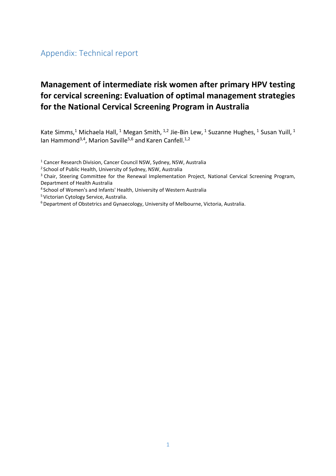# **Management of intermediate risk women after primary HPV testing for cervical screening: Evaluation of optimal management strategies for the National Cervical Screening Program in Australia**

Kate Simms,<sup>1</sup> Michaela Hall, <sup>1</sup> Megan Smith, <sup>1,2</sup> Jie-Bin Lew, <sup>1</sup> Suzanne Hughes, <sup>1</sup> Susan Yuill, <sup>1</sup> Ian Hammond<sup>3,4</sup>, Marion Saville<sup>5,6</sup> and Karen Canfell.<sup>1,2</sup>

- <sup>1</sup> Cancer Research Division, Cancer Council NSW, Sydney, NSW, Australia
- <sup>2</sup> School of Public Health, University of Sydney, NSW, Australia
- <sup>3</sup> Chair, Steering Committee for the Renewal Implementation Project, National Cervical Screening Program, Department of Health Australia
- <sup>4</sup>School of Women's and Infants' Health, University of Western Australia
- <sup>5</sup>Victorian Cytology Service, Australia.
- 6 Department of Obstetrics and Gynaecology, University of Melbourne, Victoria, Australia.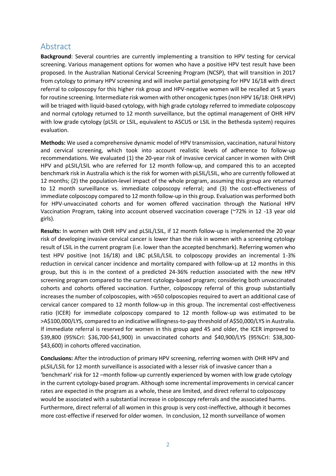## Abstract

**Background**: Several countries are currently implementing a transition to HPV testing for cervical screening. Various management options for women who have a positive HPV test result have been proposed. In the Australian National Cervical Screening Program (NCSP), that will transition in 2017 from cytology to primary HPV screening and will involve partial genotyping for HPV 16/18 with direct referral to colposcopy for this higher risk group and HPV-negative women will be recalled at 5 years for routine screening. Intermediate risk women with other oncogenic types (non HPV 16/18: OHR HPV) will be triaged with liquid-based cytology, with high grade cytology referred to immediate colposcopy and normal cytology returned to 12 month surveillance, but the optimal management of OHR HPV with low grade cytology (pLSIL or LSIL, equivalent to ASCUS or LSIL in the Bethesda system) requires evaluation.

**Methods:** We used a comprehensive dynamic model of HPV transmission, vaccination, natural history and cervical screening, which took into account realistic levels of adherence to follow-up recommendations. We evaluated (1) the 20-year risk of invasive cervical cancer in women with OHR HPV and pLSIL/LSIL who are referred for 12 month follow-up, and compared this to an accepted benchmark risk in Australia which is the risk for women with pLSIL/LSIL, who are currently followed at 12 months; (2) the population-level impact of the whole program, assuming this group are returned to 12 month surveillance vs. immediate colposcopy referral; and (3) the cost-effectiveness of immediate colposcopy compared to 12 month follow-up in this group. Evaluation was performed both for HPV-unvaccinated cohorts and for women offered vaccination through the National HPV Vaccination Program, taking into account observed vaccination coverage (~72% in 12 -13 year old girls).

**Results:** In women with OHR HPV and pLSIL/LSIL, if 12 month follow-up is implemented the 20 year risk of developing invasive cervical cancer is lower than the risk in women with a screening cytology result of LSIL in the current program (i.e. lower than the accepted benchmark). Referring women who test HPV positive (not 16/18) and LBC pLSIL/LSIL to colposcopy provides an incremental 1-3% reduction in cervical cancer incidence and mortality compared with follow-up at 12 months in this group, but this is in the context of a predicted 24-36% reduction associated with the new HPV screening program compared to the current cytology-based program; considering both unvaccinated cohorts and cohorts offered vaccination. Further, colposcopy referral of this group substantially increases the number of colposcopies, with >650 colposcopies required to avert an additional case of cervical cancer compared to 12 month follow-up in this group. The incremental cost-effectiveness ratio (ICER) for immediate colposcopy compared to 12 month follow-up was estimated to be >A\$100,000/LYS, compared to an indicative willingness-to-pay threshold of A\$50,000/LYS in Australia. If immediate referral is reserved for women in this group aged 45 and older, the ICER improved to \$39,800 (95%CrI: \$36,700-\$41,900) in unvaccinated cohorts and \$40,900/LYS (95%CrI: \$38,300- \$43,600) in cohorts offered vaccination.

**Conclusions:** After the introduction of primary HPV screening, referring women with OHR HPV and pLSIL/LSIL for 12 month surveillance is associated with a lesser risk of invasive cancer than a 'benchmark' risk for 12 –month follow-up currently experienced by women with low grade cytology in the current cytology-based program. Although some incremental improvements in cervical cancer rates are expected in the program as a whole, these are limited, and direct referral to colposcopy would be associated with a substantial increase in colposcopy referrals and the associated harms. Furthermore, direct referral of all women in this group is very cost-ineffective, although it becomes more cost-effective if reserved for older women. In conclusion, 12 month surveillance of women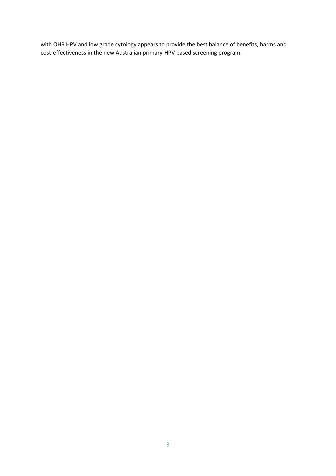with OHR HPV and low grade cytology appears to provide the best balance of benefits, harms and cost-effectiveness in the new Australian primary-HPV based screening program.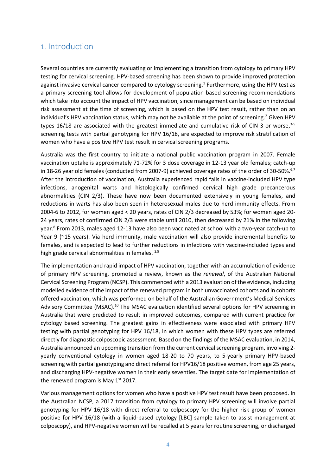## 1. Introduction

Several countries are currently evaluating or implementing a transition from cytology to primary HPV testing for cervical screening. HPV-based screening has been shown to provide improved protection againstinvasive cervical cancer compared to cytology screening.<sup>1</sup> Furthermore, using the HPV test as a primary screening tool allows for development of population-based screening recommendations which take into account the impact of HPV vaccination, since management can be based on individual risk assessment at the time of screening, which is based on the HPV test result, rather than on an individual'sHPV vaccination status, which may not be available at the point of screening.<sup>2</sup> Given HPV types 16/18 are associated with the greatest immediate and cumulative risk of CIN 3 or worse, $3-5$ screening tests with partial genotyping for HPV 16/18, are expected to improve risk stratification of women who have a positive HPV test result in cervical screening programs.

Australia was the first country to initiate a national public vaccination program in 2007. Female vaccination uptake is approximately 71-72% for 3 dose coverage in 12-13 year old females; catch-up in 18-26 year old females (conducted from 2007-9) achieved coverage rates of the order of 30-50%.<sup>[6,](#page-15-3)[7](#page-15-4)</sup> After the introduction of vaccination, Australia experienced rapid falls in vaccine-included HPV type infections, anogenital warts and histologically confirmed cervical high grade precancerous abnormalities (CIN 2/3). These have now been documented extensively in young females, and reductions in warts has also been seen in heterosexual males due to herd immunity effects. From 2004-6 to 2012, for women aged < 20 years, rates of CIN 2/3 decreased by 53%; for women aged 20- 24 years, rates of confirmed CIN 2/3 were stable until 2010, then decreased by 21% in the following year[.](#page-15-5)<sup>8</sup> From 2013, males aged 12-13 have also been vaccinated at school with a two-year catch-up to Year 9 (~15 years). Via herd immunity, male vaccination will also provide incremental benefits to females, and is expected to lead to further reductions in infections with vaccine-included types and high grade cervical abnormalities in females.<sup>[2,](#page-15-1)[9](#page-15-6)</sup>

The implementation and rapid impact of HPV vaccination, together with an accumulation of evidence of primary HPV screening, promoted a review, known as the *renewal*, of the Australian National Cervical Screening Program (NCSP). This commenced with a 2013 evaluation of the evidence, including modelled evidence of the impact of the renewed program in both unvaccinated cohorts and in cohorts offered vaccination, which was performed on behalf of the Australian Government's Medical Services Advisory Committee (MSAC).[10](#page-15-7) The MSAC evaluation identified several options for HPV screening in Australia that were predicted to result in improved outcomes, compared with current practice for cytology based screening. The greatest gains in effectiveness were associated with primary HPV testing with partial genotyping for HPV 16/18, in which women with these HPV types are referred directly for diagnostic colposcopic assessment. Based on the findings of the MSAC evaluation, in 2014, Australia announced an upcoming transition from the current cervical screening program, involving 2 yearly conventional cytology in women aged 18-20 to 70 years, to 5-yearly primary HPV-based screening with partial genotyping and direct referral for HPV16/18 positive women, from age 25 years, and discharging HPV-negative women in their early seventies. The target date for implementation of the renewed program is May  $1<sup>st</sup>$  2017.

Various management options for women who have a positive HPV test result have been proposed. In the Australian NCSP, a 2017 transition from cytology to primary HPV screening will involve partial genotyping for HPV 16/18 with direct referral to colposcopy for the higher risk group of women positive for HPV 16/18 (with a liquid-based cytology [LBC] sample taken to assist management at colposcopy), and HPV-negative women will be recalled at 5 years for routine screening, or discharged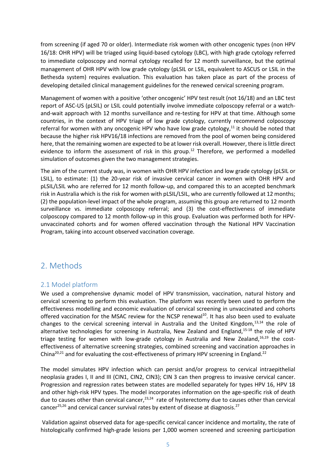from screening (if aged 70 or older). Intermediate risk women with other oncogenic types (non HPV 16/18: OHR HPV) will be triaged using liquid-based cytology (LBC), with high grade cytology referred to immediate colposcopy and normal cytology recalled for 12 month surveillance, but the optimal management of OHR HPV with low grade cytology (pLSIL or LSIL, equivalent to ASCUS or LSIL in the Bethesda system) requires evaluation. This evaluation has taken place as part of the process of developing detailed clinical management guidelines for the renewed cervical screening program.

Management of women with a positive 'other oncogenic' HPV test result (not 16/18) and an LBC test report of ASC-US (pLSIL) or LSIL could potentially involve immediate colposcopy referral or a watchand-wait approach with 12 months surveillance and re-testing for HPV at that time. Although some countries, in the context of HPV triage of low grade cytology, currently recommend colposcopy referral for women with any oncogenic HPV who have low grade cytology, $11$  it should be noted that because the higher risk HPV16/18 infections are removed from the pool of women being considered here, that the remaining women are expected to be at lower risk overall. However, there is little direct evidence to inform the assessment of risk in this group.<sup>[12](#page-15-9)</sup> Therefore, we performed a modelled simulation of outcomes given the two management strategies.

The aim of the current study was, in women with OHR HPV infection and low grade cytology (pLSIL or LSIL), to estimate: (1) the 20-year risk of invasive cervical cancer in women with OHR HPV and pLSIL/LSIL who are referred for 12 month follow-up, and compared this to an accepted benchmark risk in Australia which is the risk for women with pLSIL/LSIL, who are currently followed at 12 months; (2) the population-level impact of the whole program, assuming this group are returned to 12 month surveillance vs. immediate colposcopy referral; and (3) the cost-effectiveness of immediate colposcopy compared to 12 month follow-up in this group. Evaluation was performed both for HPVunvaccinated cohorts and for women offered vaccination through the National HPV Vaccination Program, taking into account observed vaccination coverage.

## 2. Methods

#### 2.1 Model platform

We used a comprehensive dynamic model of HPV transmission, vaccination, natural history and cervical screening to perform this evaluation. The platform was recently been used to perform the effectiveness modelling and economic evaluation of cervical screening in unvaccinated and cohorts offered vaccination for the MSAC review for the NCSP renewal<sup>[10](#page-15-7)</sup>. It has also been used to evaluate changes to the cervical screening interval in Australia and the United Kingdom,<sup>[13,](#page-15-10)[14](#page-15-11)</sup> the role of alternative technologies for screening in Australia, New Zealand and England,<sup>[15-18](#page-15-12)</sup> the role of HPV triage testing for women with low-grade cytology in Australia and New Zealand, $16,19$  $16,19$  the costeffectiveness of alternative screening strategies, combined screening and vaccination approaches in China<sup>[20,](#page-16-0)[21](#page-16-1)</sup> and for evaluating the cost-effectiveness of primary HPV screening in England.<sup>[22](#page-16-2)</sup>

The model simulates HPV infection which can persist and/or progress to cervical intraepithelial neoplasia grades I, II and III (CIN1, CIN2, CIN3); CIN 3 can then progress to invasive cervical cancer. Progression and regression rates between states are modelled separately for types HPV 16, HPV 18 and other high-risk HPV types. The model incorporates information on the age-specific risk of death due to causes other than cervical cancer,<sup>[23,](#page-16-3)[24](#page-16-4)</sup> rate of hysterectomy due to causes other than cervical cancer<sup>[25,](#page-16-5)[26](#page-16-6)</sup> and cervical cancer survival rates by extent of disease at diagnosis.<sup>[27](#page-16-7)</sup>

 Validation against observed data for age-specific cervical cancer incidence and mortality, the rate of histologically confirmed high-grade lesions per 1,000 women screened and screening participation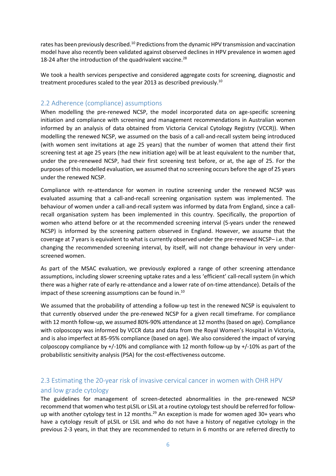rates has been previously described.<sup>[10](#page-15-7)</sup> Predictions from the dynamic HPV transmission and vaccination model have also recently been validated against observed declines in HPV prevalence in women aged 18-24 after the introduction of the quadrivalent vaccine.<sup>[28](#page-16-8)</sup>

We took a health services perspective and considered aggregate costs for screening, diagnostic and treatment procedures scaled to the year 2013 as described previously.<sup>[10](#page-15-7)</sup>

#### 2.2 Adherence (compliance) assumptions

When modelling the pre-renewed NCSP, the model incorporated data on age-specific screening initiation and compliance with screening and management recommendations in Australian women informed by an analysis of data obtained from Victoria Cervical Cytology Registry (VCCR)). When modelling the renewed NCSP, we assumed on the basis of a call-and-recall system being introduced (with women sent invitations at age 25 years) that the number of women that attend their first screening test at age 25 years (the new initiation age) will be at least equivalent to the number that, under the pre-renewed NCSP, had their first screening test before, or at, the age of 25. For the purposes of this modelled evaluation, we assumed that no screening occurs before the age of 25 years under the renewed NCSP.

Compliance with re-attendance for women in routine screening under the renewed NCSP was evaluated assuming that a call-and-recall screening organisation system was implemented. The behaviour of women under a call-and-recall system was informed by data from England, since a callrecall organisation system has been implemented in this country. Specifically, the proportion of women who attend before or at the recommended screening interval (5-years under the renewed NCSP) is informed by the screening pattern observed in England. However, we assume that the coverage at 7 years is equivalent to what is currently observed under the pre-renewed NCSP– i.e. that changing the recommended screening interval, by itself, will not change behaviour in very underscreened women.

As part of the MSAC evaluation, we previously explored a range of other screening attendance assumptions, including slower screening uptake rates and a less 'efficient' call-recall system (in which there was a higher rate of early re-attendance and a lower rate of on-time attendance). Details of the impact of these screening assumptions can be found in.[10](#page-15-7)

We assumed that the probability of attending a follow-up test in the renewed NCSP is equivalent to that currently observed under the pre-renewed NCSP for a given recall timeframe. For compliance with 12 month follow-up, we assumed 80%-90% attendance at 12 months (based on age). Compliance with colposcopy was informed by VCCR data and data from the Royal Women's Hospital in Victoria, and is also imperfect at 85-95% compliance (based on age). We also considered the impact of varying colposcopy compliance by +/-10% and compliance with 12 month follow-up by +/-10% as part of the probabilistic sensitivity analysis (PSA) for the cost-effectiveness outcome.

### 2.3 Estimating the 20-year risk of invasive cervical cancer in women with OHR HPV and low grade cytology

The guidelines for management of screen-detected abnormalities in the pre-renewed NCSP recommend that women who test pLSIL or LSIL at a routine cytology test should be referred for follow-up with another cytology test in 12 months.<sup>[29](#page-16-9)</sup> An exception is made for women aged  $30+$  years who have a cytology result of pLSIL or LSIL and who do not have a history of negative cytology in the previous 2-3 years, in that they are recommended to return in 6 months or are referred directly to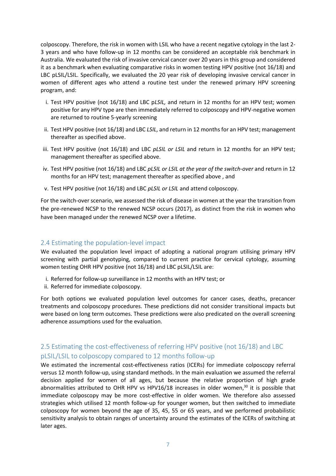colposcopy. Therefore, the risk in women with LSIL who have a recent negative cytology in the last 2- 3 years and who have follow-up in 12 months can be considered an acceptable risk benchmark in Australia. We evaluated the risk of invasive cervical cancer over 20 years in this group and considered it as a benchmark when evaluating comparative risks in women testing HPV positive (not 16/18) and LBC pLSIL/LSIL. Specifically, we evaluated the 20 year risk of developing invasive cervical cancer in women of different ages who attend a routine test under the renewed primary HPV screening program, and:

- i. Test HPV positive (not 16/18) and LBC p*LSIL,* and return in 12 months for an HPV test; women positive for any HPV type are then immediately referred to colposcopy and HPV-negative women are returned to routine 5-yearly screening
- ii. Test HPV positive (not 16/18) and LBC *LSIL*, and return in 12 months for an HPV test; management thereafter as specified above.
- iii. Test HPV positive (not 16/18) and LBC *pLSIL or LSIL* and return in 12 months for an HPV test; management thereafter as specified above.
- iv. Test HPV positive (not 16/18) and LBC *pLSIL or LSIL at the year of the switch-over* and return in 12 months for an HPV test; management thereafter as specified above , and
- v. Test HPV positive (not 16/18) and LBC *pLSIL or LSIL* and attend colposcopy.

For the switch-over scenario, we assessed the risk of disease in women at the year the transition from the pre-renewed NCSP to the renewed NCSP occurs (2017), as distinct from the risk in women who have been managed under the renewed NCSP over a lifetime.

#### 2.4 Estimating the population-level impact

We evaluated the population level impact of adopting a national program utilising primary HPV screening with partial genotyping, compared to current practice for cervical cytology, assuming women testing OHR HPV positive (not 16/18) and LBC pLSIL/LSIL are:

- i. Referred for follow-up surveillance in 12 months with an HPV test; or
- ii. Referred for immediate colposcopy.

For both options we evaluated population level outcomes for cancer cases, deaths, precancer treatments and colposcopy procedures. These predictions did not consider transitional impacts but were based on long term outcomes. These predictions were also predicated on the overall screening adherence assumptions used for the evaluation.

## 2.5 Estimating the cost-effectiveness of referring HPV positive (not 16/18) and LBC pLSIL/LSIL to colposcopy compared to 12 months follow-up

We estimated the incremental cost-effectiveness ratios (ICERs) for immediate colposcopy referral versus 12 month follow-up, using standard methods. In the main evaluation we assumed the referral decision applied for women of all ages, but because the relative proportion of high grade abnormalities attributed to OHR HPV vs HPV16/18 increases in older women, $30$  it is possible that immediate colposcopy may be more cost-effective in older women. We therefore also assessed strategies which utilised 12 month follow-up for younger women, but then switched to immediate colposcopy for women beyond the age of 35, 45, 55 or 65 years, and we performed probabilistic sensitivity analysis to obtain ranges of uncertainty around the estimates of the ICERs of switching at later ages.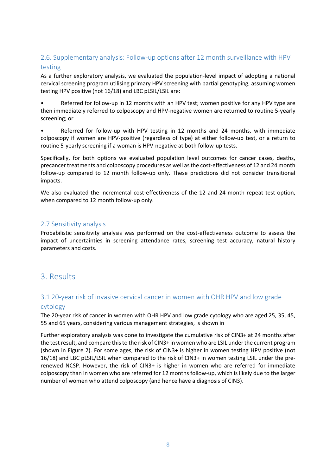### 2.6. Supplementary analysis: Follow-up options after 12 month surveillance with HPV testing

As a further exploratory analysis, we evaluated the population-level impact of adopting a national cervical screening program utilising primary HPV screening with partial genotyping, assuming women testing HPV positive (not 16/18) and LBC pLSIL/LSIL are:

• Referred for follow-up in 12 months with an HPV test; women positive for any HPV type are then immediately referred to colposcopy and HPV-negative women are returned to routine 5-yearly screening; or

• Referred for follow-up with HPV testing in 12 months and 24 months, with immediate colposcopy if women are HPV-positive (regardless of type) at either follow-up test, or a return to routine 5-yearly screening if a woman is HPV-negative at both follow-up tests.

Specifically, for both options we evaluated population level outcomes for cancer cases, deaths, precancer treatments and colposcopy procedures as well as the cost-effectiveness of 12 and 24 month follow-up compared to 12 month follow-up only. These predictions did not consider transitional impacts.

We also evaluated the incremental cost-effectiveness of the 12 and 24 month repeat test option, when compared to 12 month follow-up only.

#### 2.7 Sensitivity analysis

Probabilistic sensitivity analysis was performed on the cost-effectiveness outcome to assess the impact of uncertainties in screening attendance rates, screening test accuracy, natural history parameters and costs.

## 3. Results

### 3.1 20-year risk of invasive cervical cancer in women with OHR HPV and low grade cytology

The 20-year risk of cancer in women with OHR HPV and low grade cytology who are aged 25, 35, 45, 55 and 65 years, considering various management strategies, is shown in

[Further exploratory analysis was done to investigate the cumulative risk of CIN3+ at 24 months after](#page-8-0)  [the test result, and compare this to the risk of CIN3+ in women who are LSIL under the current program](#page-8-0)  [\(shown in Figure 2\). For some ages, the risk of CIN3+ is higher in women testing HPV positive \(not](#page-8-0)  [16/18\) and LBC pLSIL/LSIL when compared to the risk of CIN3+ in women testing LSIL under the pre](#page-8-0)[renewed NCSP. However, the risk of CIN3+ is higher in women who are referred for immediate](#page-8-0)  [colposcopy than in women who are referred for 12 months follow-up, which is likely due to the larger](#page-8-0)  [number of women who attend colposcopy \(and hence have a diagnosis of CIN3\).](#page-8-0)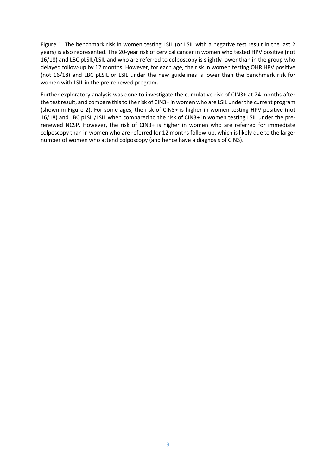[Figure 1.](#page-8-0) The benchmark risk in women testing LSIL (or LSIL with a negative test result in the last 2 years) is also represented. The 20-year risk of cervical cancer in women who tested HPV positive (not 16/18) and LBC pLSIL/LSIL and who are referred to colposcopy is slightly lower than in the group who delayed follow-up by 12 months. However, for each age, the risk in women testing OHR HPV positive (not 16/18) and LBC pLSIL or LSIL under the new guidelines is lower than the benchmark risk for women with LSIL in the pre-renewed program.

<span id="page-8-0"></span>Further exploratory analysis was done to investigate the cumulative risk of CIN3+ at 24 months after the test result, and compare this to the risk of CIN3+ in women who are LSIL under the current program (shown in [Figure 2\)](#page-9-0). For some ages, the risk of CIN3+ is higher in women testing HPV positive (not 16/18) and LBC pLSIL/LSIL when compared to the risk of CIN3+ in women testing LSIL under the prerenewed NCSP. However, the risk of CIN3+ is higher in women who are referred for immediate colposcopy than in women who are referred for 12 months follow-up, which is likely due to the larger number of women who attend colposcopy (and hence have a diagnosis of CIN3).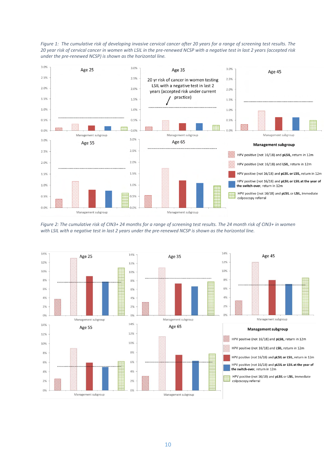

*Figure 1: The cumulative risk of developing invasive cervical cancer after 20 years for a range of screening test results. The 20 year risk of cervical cancer in women with LSIL in the pre-renewed NCSP with a negative test in last 2 years (accepted risk under the pre-renewed NCSP) is shown as the horizontal line.*

<span id="page-9-0"></span>*Figure 2: The cumulative risk of CIN3+ 24 months for a range of screening test results. The 24 month risk of CIN3+ in women with LSIL with a negative test in last 2 years under the pre-renewed NCSP is shown as the horizontal line.*

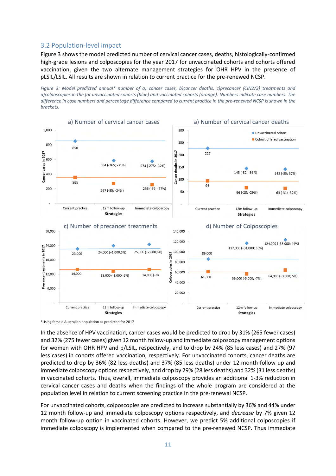#### 3.2 Population-level impact

[Figure 3](#page-10-0) shows the model predicted number of cervical cancer cases, deaths, histologically-confirmed high-grade lesions and colposcopies for the year 2017 for unvaccinated cohorts and cohorts offered vaccination, given the two alternate management strategies for OHR HPV in the presence of pLSIL/LSIL. All results are shown in relation to current practice for the pre-renewed NCSP.

<span id="page-10-0"></span>*Figure 3: Model predicted annual\* number of a) cancer cases, b)cancer deaths, c)precancer (CIN2/3) treatments and d)colposcopies in the for unvaccinated cohorts (blue) and vaccinated cohorts (orange). Numbers indicate case numbers. The difference in case numbers and percentage difference compared to current practice in the pre-renewed NCSP is shown in the brackets.* 



<sup>\*</sup>Using female Australian population as predicted for 2017

In the absence of HPV vaccination, cancer cases would be predicted to drop by 31% (265 fewer cases) and 32% (275 fewer cases) given 12 month follow-up and immediate colposcopy management options for women with OHR HPV and p/LSIL, respectively, and to drop by 24% (85 less cases) and 27% (97 less cases) in cohorts offered vaccination, respectively. For unvaccinated cohorts, cancer deaths are predicted to drop by 36% (82 less deaths) and 37% (85 less deaths) under 12 month follow-up and immediate colposcopy options respectively, and drop by 29% (28 less deaths) and 32% (31 less deaths) in vaccinated cohorts. Thus, overall, immediate colposcopy provides an additional 1-3% reduction in cervical cancer cases and deaths when the findings of the whole program are considered at the population level in relation to current screening practice in the pre-renewal NCSP.

For unvaccinated cohorts, colposcopies are predicted to increase substantially by 36% and 44% under 12 month follow-up and immediate colposcopy options respectively, and *decrease* by 7% given 12 month follow-up option in vaccinated cohorts. However, we predict 5% additional colposcopies if immediate colposcopy is implemented when compared to the pre-renewed NCSP. Thus immediate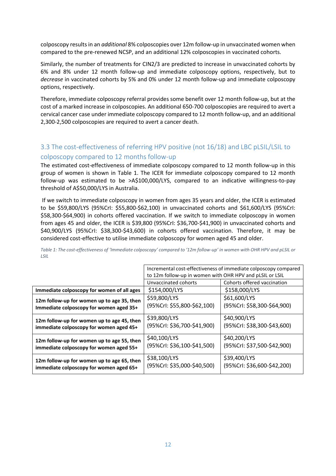colposcopy results in an *additional* 8% colposcopies over 12m follow-up in unvaccinated women when compared to the pre-renewed NCSP, and an additional 12% colposcopies in vaccinated cohorts.

Similarly, the number of treatments for CIN2/3 are predicted to increase in unvaccinated cohorts by 6% and 8% under 12 month follow-up and immediate colposcopy options, respectively, but to *decrease* in vaccinated cohorts by 5% and 0% under 12 month follow-up and immediate colposcopy options, respectively.

Therefore, immediate colposcopy referral provides some benefit over 12 month follow-up, but at the cost of a marked increase in colposcopies. An additional 650-700 colposcopies are required to avert a cervical cancer case under immediate colposcopy compared to 12 month follow-up, and an additional 2,300-2,500 colposcopies are required to avert a cancer death.

#### 3.3 The cost-effectiveness of referring HPV positive (not 16/18) and LBC pLSIL/LSIL to colposcopy compared to 12 months follow-up

The estimated cost-effectiveness of immediate colposcopy compared to 12 month follow-up in this group of women is shown in [Table 1.](#page-11-0) The ICER for immediate colposcopy compared to 12 month follow-up was estimated to be >A\$100,000/LYS, compared to an indicative willingness-to-pay threshold of A\$50,000/LYS in Australia.

 If we switch to immediate colposcopy in women from ages 35 years and older, the ICER is estimated to be \$59,800/LYS (95%CrI: \$55,800-\$62,100) in unvaccinated cohorts and \$61,600/LYS (95%CrI: \$58,300-\$64,900) in cohorts offered vaccination. If we switch to immediate colposcopy in women from ages 45 and older, the ICER is \$39,800 (95%CrI: \$36,700-\$41,900) in unvaccinated cohorts and \$40,900/LYS (95%CrI: \$38,300-\$43,600) in cohorts offered vaccination. Therefore, it may be considered cost-effective to utilise immediate colposcopy for women aged 45 and older.

|                                                                                       | Incremental cost-effectiveness of immediate colposcopy compared |                             |
|---------------------------------------------------------------------------------------|-----------------------------------------------------------------|-----------------------------|
|                                                                                       | to 12m follow-up in women with OHR HPV and pLSIL or LSIL        |                             |
|                                                                                       | Unvaccinated cohorts                                            | Cohorts offered vaccination |
| Immediate colposcopy for women of all ages                                            | \$154,000/LYS                                                   | \$158,000/LYS               |
| 12m follow-up for women up to age 35, then<br>Immediate colposcopy for women aged 35+ | \$59,800/LYS                                                    | \$61,600/LYS                |
|                                                                                       | (95%Crl: \$55,800-\$62,100)                                     | (95%Crl: \$58,300-\$64,900) |
| 12m follow-up for women up to age 45, then<br>immediate colposcopy for women aged 45+ | \$39,800/LYS                                                    | \$40,900/LYS                |
|                                                                                       | (95%Crl: \$36,700-\$41,900)                                     | (95%Crl: \$38,300-\$43,600) |
| 12m follow-up for women up to age 55, then                                            | \$40,100/LYS                                                    | \$40,200/LYS                |
| immediate colposcopy for women aged 55+                                               | (95%Crl: \$36,100-\$41,500)                                     | (95%Crl: \$37,500-\$42,900) |
| 12m follow-up for women up to age 65, then<br>immediate colposcopy for women aged 65+ | \$38,100/LYS                                                    | \$39,400/LYS                |
|                                                                                       | (95%Crl: \$35,000-\$40,500)                                     | (95%Crl: \$36,600-\$42,200) |

<span id="page-11-0"></span>*Table 1: The cost-effectiveness of 'Immediate colposcopy' compared to '12m follow-up' in women with OHR HPV and pLSIL or LSIL*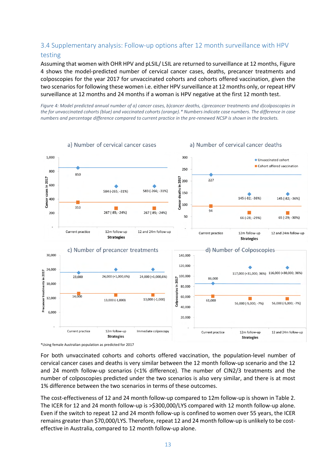#### 3.4 Supplementary analysis: Follow-up options after 12 month surveillance with HPV testing

Assuming that women with OHR HPV and pLSIL/ LSIL are returned to surveillance at 12 months[, Figure](#page-12-0)  [4](#page-12-0) shows the model-predicted number of cervical cancer cases, deaths, precancer treatments and colposcopies for the year 2017 for unvaccinated cohorts and cohorts offered vaccination, given the two scenarios for following these women i.e. either HPV surveillance at 12 months only, or repeat HPV surveillance at 12 months and 24 months if a woman is HPV negative at the first 12 month test.

<span id="page-12-0"></span>*Figure 4: Model predicted annual number of a) cancer cases, b)cancer deaths, c)precancer treatments and d)colposcopies in the for unvaccinated cohorts (blue) and vaccinated cohorts (orange).\* Numbers indicate case numbers. The difference in case numbers and percentage difference compared to current practice in the pre-renewed NCSP is shown in the brackets.* 



<sup>\*</sup>Using female Australian population as predicted for 2017

For both unvaccinated cohorts and cohorts offered vaccination, the population-level number of cervical cancer cases and deaths is very similar between the 12 month follow-up scenario and the 12 and 24 month follow-up scenarios (<1% difference). The number of CIN2/3 treatments and the number of colposcopies predicted under the two scenarios is also very similar, and there is at most 1% difference between the two scenarios in terms of these outcomes.

The cost-effectiveness of 12 and 24 month follow-up compared to 12m follow-up is shown i[n Table 2.](#page-13-0) The ICER for 12 and 24 month follow-up is >\$300,000/LYS compared with 12 month follow-up alone. Even if the switch to repeat 12 and 24 month follow-up is confined to women over 55 years, the ICER remains greater than \$70,000/LYS. Therefore, repeat 12 and 24 month follow-up is unlikely to be costeffective in Australia, compared to 12 month follow-up alone.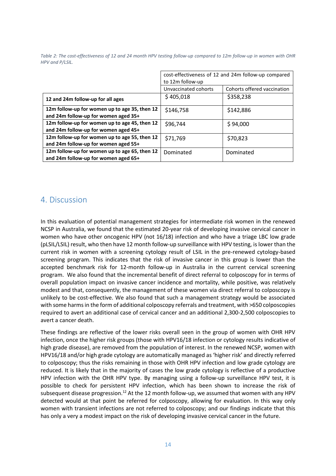<span id="page-13-0"></span>*Table 2: The cost-effectiveness of 12 and 24 month HPV testing follow-up compared to 12m follow-up in women with OHR HPV and P/LSIL.* 

|                                                                                       | cost-effectiveness of 12 and 24m follow-up compared<br>to 12m follow-up |                             |
|---------------------------------------------------------------------------------------|-------------------------------------------------------------------------|-----------------------------|
|                                                                                       | Unvaccinated cohorts                                                    | Cohorts offered vaccination |
| 12 and 24m follow-up for all ages                                                     | \$405,018                                                               | \$358,238                   |
| 12m follow-up for women up to age 35, then 12<br>and 24m follow-up for women aged 35+ | \$146,758                                                               | \$142,886                   |
| 12m follow-up for women up to age 45, then 12<br>and 24m follow-up for women aged 45+ | \$96,744                                                                | \$94,000                    |
| 12m follow-up for women up to age 55, then 12<br>and 24m follow-up for women aged 55+ | \$71,769                                                                | \$70,823                    |
| 12m follow-up for women up to age 65, then 12<br>and 24m follow-up for women aged 65+ | Dominated                                                               | Dominated                   |

## 4. Discussion

In this evaluation of potential management strategies for intermediate risk women in the renewed NCSP in Australia, we found that the estimated 20-year risk of developing invasive cervical cancer in women who have other oncogenic HPV (not 16/18) infection and who have a triage LBC low grade (pLSIL/LSIL) result, who then have 12 month follow-up surveillance with HPV testing, is lower than the current risk in women with a screening cytology result of LSIL in the pre-renewed cytology-based screening program. This indicates that the risk of invasive cancer in this group is lower than the accepted benchmark risk for 12-month follow-up in Australia in the current cervical screening program. We also found that the incremental benefit of direct referral to colposcopy for in terms of overall population impact on invasive cancer incidence and mortality, while positive, was relatively modest and that, consequently, the management of these women via direct referral to colposcopy is unlikely to be cost-effective. We also found that such a management strategy would be associated with some harms in the form of additional colposcopy referrals and treatment, with >650 colposcopies required to avert an additional case of cervical cancer and an additional 2,300-2,500 colposcopies to avert a cancer death.

These findings are reflective of the lower risks overall seen in the group of women with OHR HPV infection, once the higher risk groups (those with HPV16/18 infection or cytology results indicative of high grade disease), are removed from the population of interest. In the renewed NCSP, women with HPV16/18 and/or high grade cytology are automatically managed as 'higher risk' and directly referred to colposcopy; thus the risks remaining in those with OHR HPV infection and low grade cytology are reduced. It is likely that in the majority of cases the low grade cytology is reflective of a productive HPV infection with the OHR HPV type. By managing using a follow-up surveillance HPV test, it is possible to check for persistent HPV infection, which has been shown to increase the risk of subsequent disease progression.<sup>[12](#page-15-9)</sup> At the 12 month follow-up, we assumed that women with any HPV detected would at that point be referred for colposcopy, allowing for evaluation. In this way only women with transient infections are not referred to colposcopy; and our findings indicate that this has only a very a modest impact on the risk of developing invasive cervical cancer in the future.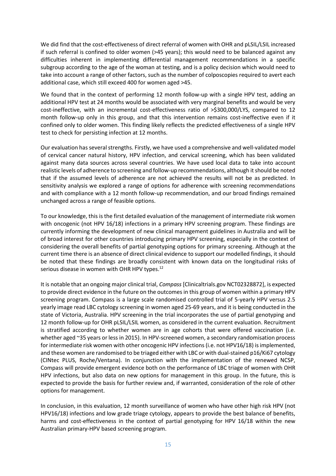We did find that the cost-effectiveness of direct referral of women with OHR and pLSIL/LSIL increased if such referral is confined to older women (>45 years); this would need to be balanced against any difficulties inherent in implementing differential management recommendations in a specific subgroup according to the age of the woman at testing, and is a policy decision which would need to take into account a range of other factors, such as the number of colposcopies required to avert each additional case, which still exceed 400 for women aged >45.

We found that in the context of performing 12 month follow-up with a single HPV test, adding an additional HPV test at 24 months would be associated with very marginal benefits and would be very cost-ineffective, with an incremental cost-effectiveness ratio of >\$300,000/LYS, compared to 12 month follow-up only in this group, and that this intervention remains cost-ineffective even if it confined only to older women. This finding likely reflects the predicted effectiveness of a single HPV test to check for persisting infection at 12 months.

Our evaluation has several strengths. Firstly, we have used a comprehensive and well-validated model of cervical cancer natural history, HPV infection, and cervical screening, which has been validated against many data sources across several countries. We have used local data to take into account realistic levels of adherence to screening and follow-up recommendations, although it should be noted that if the assumed levels of adherence are not achieved the results will not be as predicted. In sensitivity analysis we explored a range of options for adherence with screening recommendations and with compliance with a 12 month follow-up recommendation, and our broad findings remained unchanged across a range of feasible options.

To our knowledge, this is the first detailed evaluation of the management of intermediate risk women with oncogenic (not HPV 16/18) infections in a primary HPV screening program. These findings are currently informing the development of new clinical management guidelines in Australia and will be of broad interest for other countries introducing primary HPV screening, especially in the context of considering the overall benefits of partial genotyping options for primary screening. Although at the current time there is an absence of direct clinical evidence to support our modelled findings, it should be noted that these findings are broadly consistent with known data on the longitudinal risks of serious disease in women with OHR HPV types.<sup>[12](#page-15-9)</sup>

It is notable that an ongoing major clinical trial, *Compass* [Clinicaltrials.gov NCT02328872], is expected to provide direct evidence in the future on the outcomes in this group of women within a primary HPV screening program. Compass is a large scale randomised controlled trial of 5-yearly HPV versus 2.5 yearly image read LBC cytology screening in women aged 25-69 years, and it is being conducted in the state of Victoria, Australia. HPV screening in the trial incorporates the use of partial genotyping and 12 month follow-up for OHR pLSIL/LSIL women, as considered in the current evaluation. Recruitment is stratified according to whether women are in age cohorts that were offered vaccination (i.e. whether aged ~35 years or less in 2015). In HPV-screened women, a secondary randomisation process for intermediate risk women with other oncogenic HPV infections (i.e. not HPV16/18) is implemented, and these women are randomised to be triaged either with LBC or with dual-stained p16/Ki67 cytology (CINtec PLUS, Roche/Ventana). In conjunction with the implementation of the renewed NCSP, Compass will provide emergent evidence both on the performance of LBC triage of women with OHR HPV infections, but also data on new options for management in this group. In the future, this is expected to provide the basis for further review and, if warranted, consideration of the role of other options for management.

In conclusion, in this evaluation, 12 month surveillance of women who have other high risk HPV (not HPV16/18) infections and low grade triage cytology, appears to provide the best balance of benefits, harms and cost-effectiveness in the context of partial genotyping for HPV 16/18 within the new Australian primary-HPV based screening program.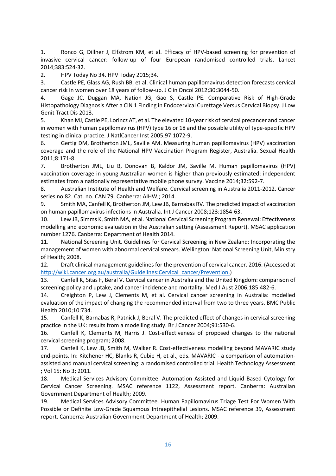<span id="page-15-0"></span>1. Ronco G, Dillner J, Elfstrom KM, et al. Efficacy of HPV-based screening for prevention of invasive cervical cancer: follow-up of four European randomised controlled trials. Lancet 2014;383:524-32.

<span id="page-15-1"></span>2. HPV Today No 34. HPV Today 2015;34.

<span id="page-15-2"></span>3. Castle PE, Glass AG, Rush BB, et al. Clinical human papillomavirus detection forecasts cervical cancer risk in women over 18 years of follow-up. J Clin Oncol 2012;30:3044-50.

4. Gage JC, Duggan MA, Nation JG, Gao S, Castle PE. Comparative Risk of High-Grade Histopathology Diagnosis After a CIN 1 Finding in Endocervical Curettage Versus Cervical Biopsy. J Low Genit Tract Dis 2013.

5. Khan MJ, Castle PE, Lorincz AT, et al. The elevated 10-year risk of cervical precancer and cancer in women with human papillomavirus (HPV) type 16 or 18 and the possible utility of type-specific HPV testing in clinical practice. J NatlCancer Inst 2005;97:1072-9.

<span id="page-15-3"></span>6. Gertig DM, Brotherton JML, Saville AM. Measuring human papillomavirus (HPV) vaccination coverage and the role of the National HPV Vaccination Program Register, Australia. Sexual Health 2011;8:171-8.

<span id="page-15-4"></span>7. Brotherton JML, Liu B, Donovan B, Kaldor JM, Saville M. Human papillomavirus (HPV) vaccination coverage in young Australian women is higher than previously estimated: independent estimates from a nationally representative mobile phone survey. Vaccine 2014;32:592-7.

<span id="page-15-5"></span>8. Australian Institute of Health and Welfare. Cervical screening in Australia 2011-2012. Cancer series no.82. Cat. no. CAN 79. Canberra: AIHW,; 2014.

<span id="page-15-6"></span>9. Smith MA, Canfell K, Brotherton JM, Lew JB, Barnabas RV. The predicted impact of vaccination on human papillomavirus infections in Australia. Int J Cancer 2008;123:1854-63.

<span id="page-15-7"></span>10. Lew JB, Simms K, Smith MA, et al. National Cervical Screening Program Renewal: Effectiveness modelling and economic evaluation in the Australian setting (Assessment Report). MSAC application number 1276. Canberra: Department of Health 2014.

<span id="page-15-8"></span>11. National Screening Unit. Guidelines for Cervical Screening in New Zealand: Incorporating the management of women with abnormal cervical smears. Wellington: National Screening Unit, Ministry of Health; 2008.

<span id="page-15-9"></span>12. Draft clinical management guidelines for the prevention of cervical cancer. 2016. (Accessed at [http://wiki.cancer.org.au/australia/Guidelines:Cervical\\_cancer/Prevention.\)](http://wiki.cancer.org.au/australia/Guidelines:Cervical_cancer/Prevention.)

<span id="page-15-10"></span>13. Canfell K, Sitas F, Beral V. Cervical cancer in Australia and the United Kingdom: comparison of screening policy and uptake, and cancer incidence and mortality. Med J Aust 2006;185:482-6.

<span id="page-15-11"></span>14. Creighton P, Lew J, Clements M, et al. Cervical cancer screening in Australia: modelled evaluation of the impact of changing the recommended interval from two to three years. BMC Public Health 2010;10:734.

<span id="page-15-12"></span>15. Canfell K, Barnabas R, Patnick J, Beral V. The predicted effect of changes in cervical screening practice in the UK: results from a modelling study. Br J Cancer 2004;91:530-6.

<span id="page-15-13"></span>16. Canfell K, Clements M, Harris J. Cost-effectiveness of proposed changes to the national cervical screening program; 2008.

17. Canfell K, Lew JB, Smith M, Walker R. Cost-effectiveness modelling beyond MAVARIC study end-points. In: Kitchener HC, Blanks R, Cubie H, et al., eds. MAVARIC - a comparison of automationassisted and manual cervical screening: a randomised controlled trial Health Technology Assessment ; Vol 15: No 3; 2011.

18. Medical Services Advisory Committee. Automation Assisted and Liquid Based Cytology for Cervical Cancer Screening. MSAC reference 1122, Assessment report. Canberra: Australian Government Department of Health; 2009.

<span id="page-15-14"></span>19. Medical Services Advisory Committee. Human Papillomavirus Triage Test For Women With Possible or Definite Low-Grade Squamous Intraepithelial Lesions. MSAC reference 39, Assessment report. Canberra: Australian Government Department of Health; 2009.